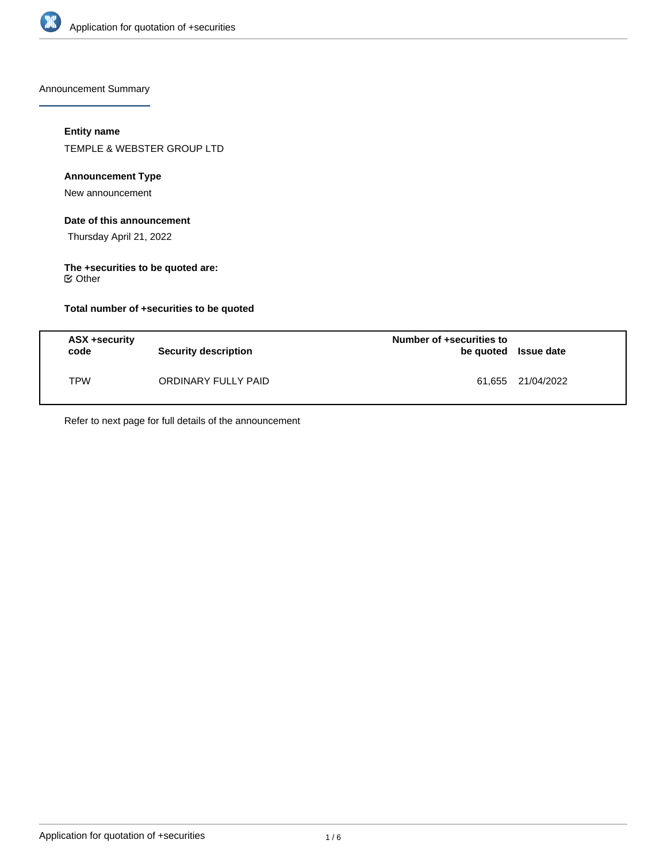

Announcement Summary

# **Entity name**

TEMPLE & WEBSTER GROUP LTD

### **Announcement Type**

New announcement

### **Date of this announcement**

Thursday April 21, 2022

#### **The +securities to be quoted are:** Other

**Total number of +securities to be quoted**

| ASX +security<br>code | Security description | Number of +securities to<br>be quoted Issue date |                   |
|-----------------------|----------------------|--------------------------------------------------|-------------------|
| <b>TPW</b>            | ORDINARY FULLY PAID  |                                                  | 61,655 21/04/2022 |

Refer to next page for full details of the announcement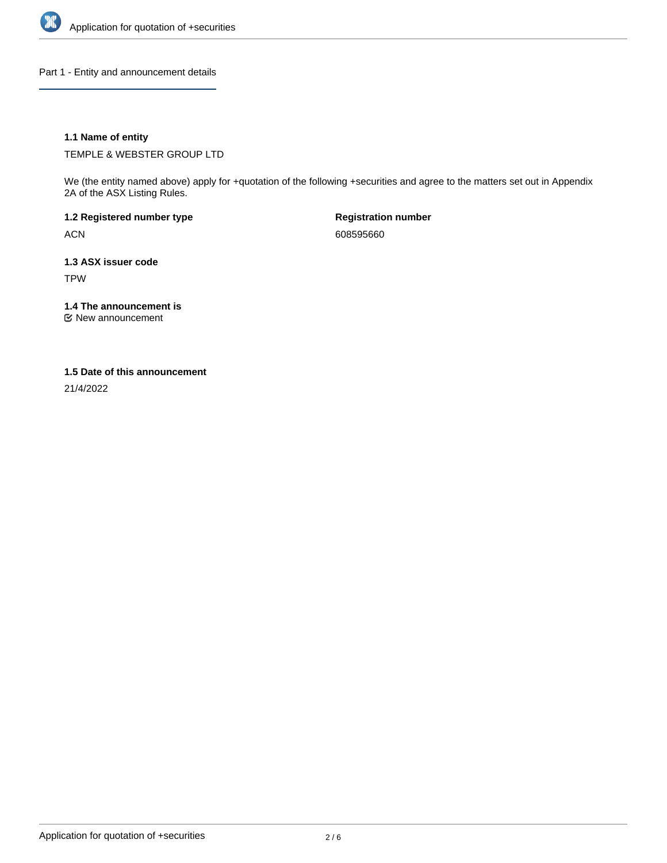

Part 1 - Entity and announcement details

### **1.1 Name of entity**

TEMPLE & WEBSTER GROUP LTD

We (the entity named above) apply for +quotation of the following +securities and agree to the matters set out in Appendix 2A of the ASX Listing Rules.

**1.2 Registered number type** ACN

**Registration number** 608595660

**1.3 ASX issuer code** TPW

**1.4 The announcement is**

New announcement

### **1.5 Date of this announcement**

21/4/2022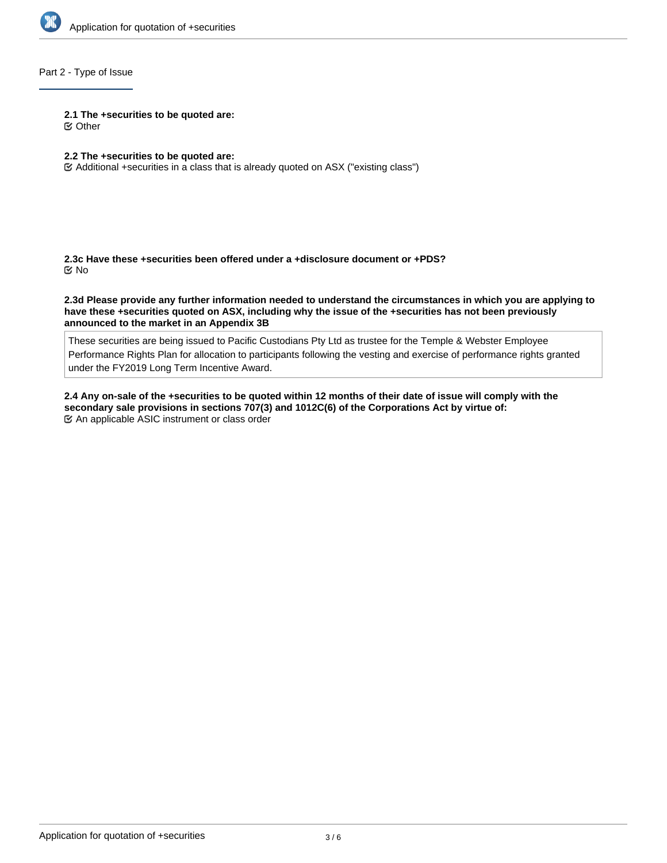

# Part 2 - Type of Issue

#### **2.1 The +securities to be quoted are:**

Other

# **2.2 The +securities to be quoted are:**

Additional +securities in a class that is already quoted on ASX ("existing class")

**2.3c Have these +securities been offered under a +disclosure document or +PDS?** No

**2.3d Please provide any further information needed to understand the circumstances in which you are applying to have these +securities quoted on ASX, including why the issue of the +securities has not been previously announced to the market in an Appendix 3B**

These securities are being issued to Pacific Custodians Pty Ltd as trustee for the Temple & Webster Employee Performance Rights Plan for allocation to participants following the vesting and exercise of performance rights granted under the FY2019 Long Term Incentive Award.

**2.4 Any on-sale of the +securities to be quoted within 12 months of their date of issue will comply with the secondary sale provisions in sections 707(3) and 1012C(6) of the Corporations Act by virtue of:** An applicable ASIC instrument or class order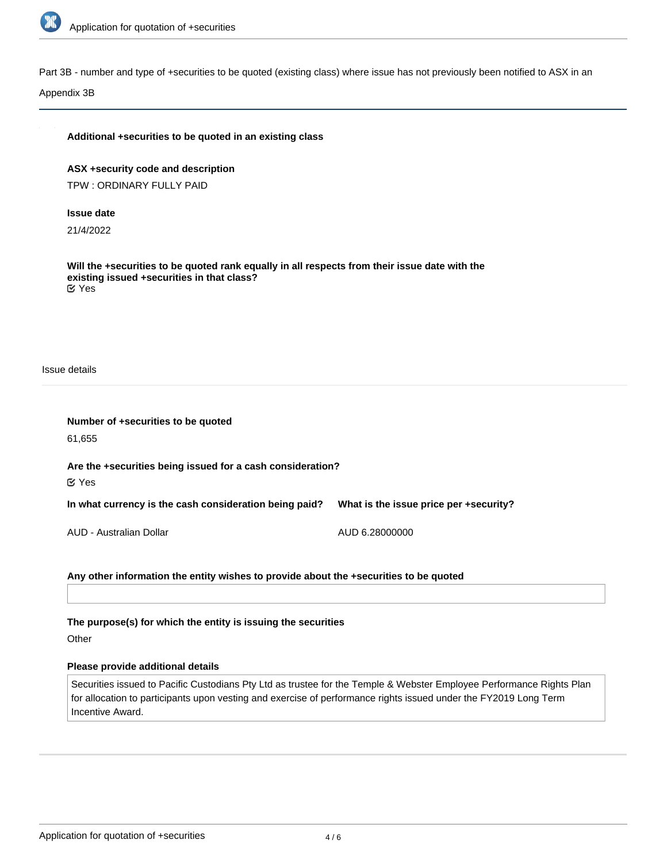

Part 3B - number and type of +securities to be quoted (existing class) where issue has not previously been notified to ASX in an

Appendix 3B

# **Additional +securities to be quoted in an existing class**

**ASX +security code and description** TPW : ORDINARY FULLY PAID

#### **Issue date**

21/4/2022

**Will the +securities to be quoted rank equally in all respects from their issue date with the existing issued +securities in that class?** Yes

Issue details

| Number of +securities to be quoted<br>61,655                                     |                                        |  |  |  |
|----------------------------------------------------------------------------------|----------------------------------------|--|--|--|
| Are the +securities being issued for a cash consideration?<br>$\mathfrak{C}$ Yes |                                        |  |  |  |
| In what currency is the cash consideration being paid?                           | What is the issue price per +security? |  |  |  |
| AUD - Australian Dollar                                                          | AUD 6.28000000                         |  |  |  |

# **Any other information the entity wishes to provide about the +securities to be quoted**

**The purpose(s) for which the entity is issuing the securities**

**Other** 

#### **Please provide additional details**

Securities issued to Pacific Custodians Pty Ltd as trustee for the Temple & Webster Employee Performance Rights Plan for allocation to participants upon vesting and exercise of performance rights issued under the FY2019 Long Term Incentive Award.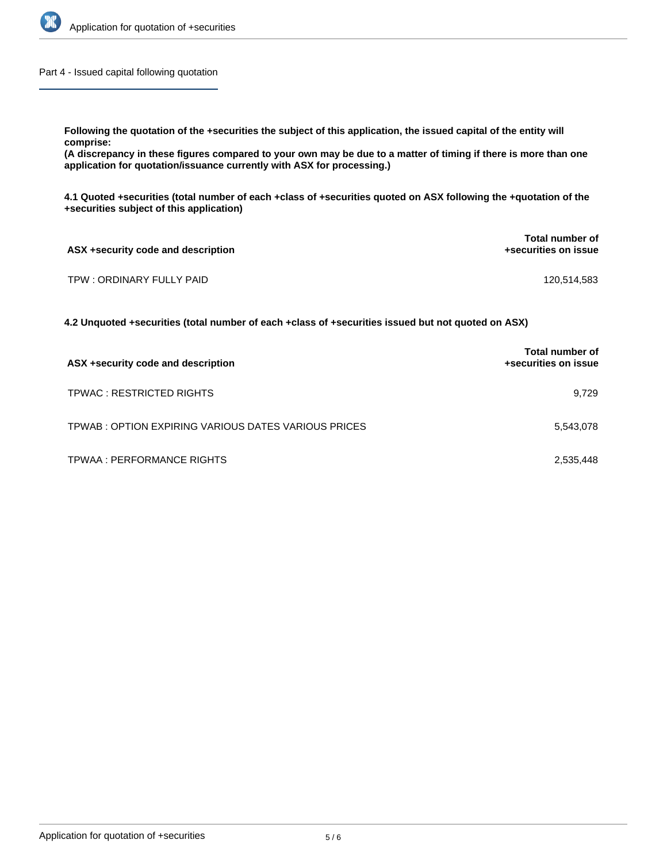

Part 4 - Issued capital following quotation

**Following the quotation of the +securities the subject of this application, the issued capital of the entity will comprise:**

**(A discrepancy in these figures compared to your own may be due to a matter of timing if there is more than one application for quotation/issuance currently with ASX for processing.)**

**4.1 Quoted +securities (total number of each +class of +securities quoted on ASX following the +quotation of the +securities subject of this application)**

| ASX +security code and description | <b>Total number of</b><br>+securities on issue |
|------------------------------------|------------------------------------------------|
| TPW : ORDINARY FULLY PAID          | 120,514,583                                    |

**4.2 Unquoted +securities (total number of each +class of +securities issued but not quoted on ASX)**

| ASX +security code and description                  | <b>Total number of</b><br>+securities on issue |
|-----------------------------------------------------|------------------------------------------------|
| TPWAC: RESTRICTED RIGHTS                            | 9.729                                          |
| TPWAB: OPTION EXPIRING VARIOUS DATES VARIOUS PRICES | 5,543,078                                      |
| TPWAA : PERFORMANCE RIGHTS                          | 2,535,448                                      |